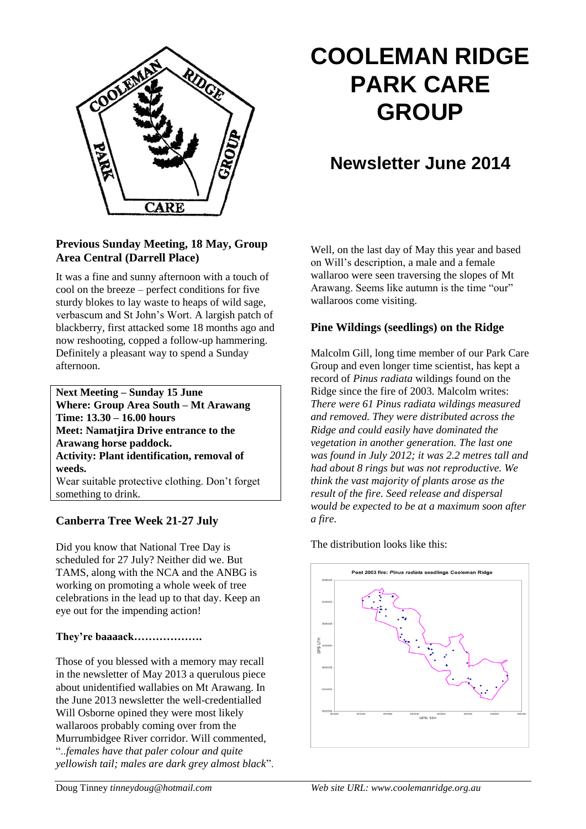

# **COOLEMAN RIDGE PARK CARE GROUP**

# **Newsletter June 2014**

#### **Previous Sunday Meeting, 18 May, Group Area Central (Darrell Place)**

It was a fine and sunny afternoon with a touch of cool on the breeze – perfect conditions for five sturdy blokes to lay waste to heaps of wild sage, verbascum and St John's Wort. A largish patch of blackberry, first attacked some 18 months ago and now reshooting, copped a follow-up hammering. Definitely a pleasant way to spend a Sunday afternoon.

**Next Meeting – Sunday 15 June Where: Group Area South – Mt Arawang Time: 13.30 – 16.00 hours Meet: Namatjira Drive entrance to the Arawang horse paddock. Activity: Plant identification, removal of weeds.** Wear suitable protective clothing. Don't forget something to drink.

### **Canberra Tree Week 21-27 July**

Did you know that National Tree Day is scheduled for 27 July? Neither did we. But TAMS, along with the NCA and the ANBG is working on promoting a whole week of tree celebrations in the lead up to that day. Keep an eye out for the impending action!

### **They're baaaack……………….**

Those of you blessed with a memory may recall in the newsletter of May 2013 a querulous piece about unidentified wallabies on Mt Arawang. In the June 2013 newsletter the well-credentialled Will Osborne opined they were most likely wallaroos probably coming over from the Murrumbidgee River corridor. Will commented, "..*females have that paler colour and quite yellowish tail; males are dark grey almost black*". Well, on the last day of May this year and based on Will's description, a male and a female wallaroo were seen traversing the slopes of Mt Arawang. Seems like autumn is the time "our" wallaroos come visiting.

## **Pine Wildings (seedlings) on the Ridge**

Malcolm Gill, long time member of our Park Care Group and even longer time scientist, has kept a record of *Pinus radiata* wildings found on the Ridge since the fire of 2003. Malcolm writes: *There were 61 Pinus radiata wildings measured and removed. They were distributed across the Ridge and could easily have dominated the vegetation in another generation. The last one was found in July 2012; it was 2.2 metres tall and had about 8 rings but was not reproductive. We think the vast majority of plants arose as the result of the fire. Seed release and dispersal would be expected to be at a maximum soon after a fire.*

The distribution looks like this: